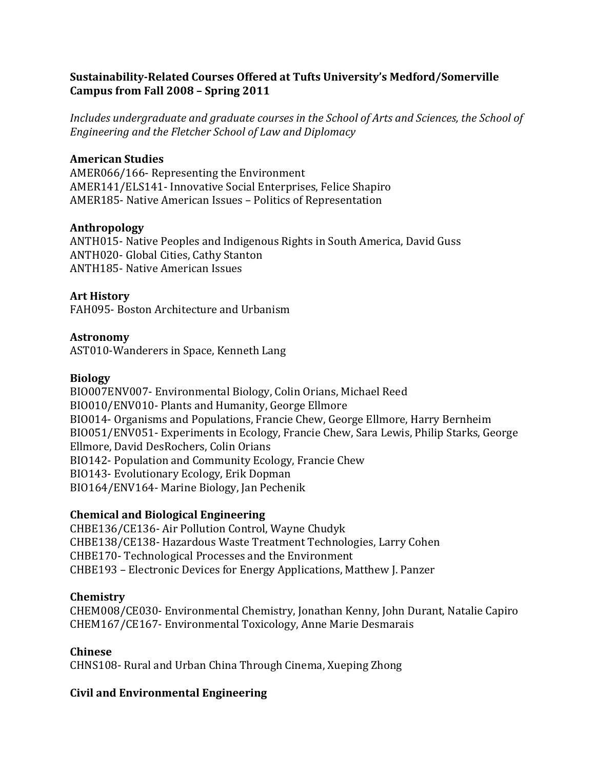### **Sustainability-Related Courses Offered at Tufts University's Medford/Somerville Campus from Fall 2008 – Spring 2011**

*Includes undergraduate and graduate courses in the School of Arts and Sciences, the School of Engineering and the Fletcher School of Law and Diplomacy*

### **American Studies**

AMER066/166- Representing the Environment AMER141/ELS141- Innovative Social Enterprises, Felice Shapiro AMER185- Native American Issues – Politics of Representation

### **Anthropology**

ANTH015- Native Peoples and Indigenous Rights in South America, David Guss ANTH020- Global Cities, Cathy Stanton ANTH185- Native American Issues

### **Art History**

FAH095- Boston Architecture and Urbanism

### **Astronomy**

AST010-Wanderers in Space, Kenneth Lang

### **Biology**

BIO007ENV007- Environmental Biology, Colin Orians, Michael Reed BIO010/ENV010- Plants and Humanity, George Ellmore BIO014- Organisms and Populations, Francie Chew, George Ellmore, Harry Bernheim BIO051/ENV051- Experiments in Ecology, Francie Chew, Sara Lewis, Philip Starks, George Ellmore, David DesRochers, Colin Orians BIO142- Population and Community Ecology, Francie Chew BIO143- Evolutionary Ecology, Erik Dopman BIO164/ENV164- Marine Biology, Jan Pechenik

### **Chemical and Biological Engineering**

CHBE136/CE136- Air Pollution Control, Wayne Chudyk CHBE138/CE138- Hazardous Waste Treatment Technologies, Larry Cohen CHBE170- Technological Processes and the Environment CHBE193 – Electronic Devices for Energy Applications, Matthew J. Panzer

### **Chemistry**

CHEM008/CE030- Environmental Chemistry, Jonathan Kenny, John Durant, Natalie Capiro CHEM167/CE167- Environmental Toxicology, Anne Marie Desmarais

### **Chinese**

CHNS108- Rural and Urban China Through Cinema, Xueping Zhong

# **Civil and Environmental Engineering**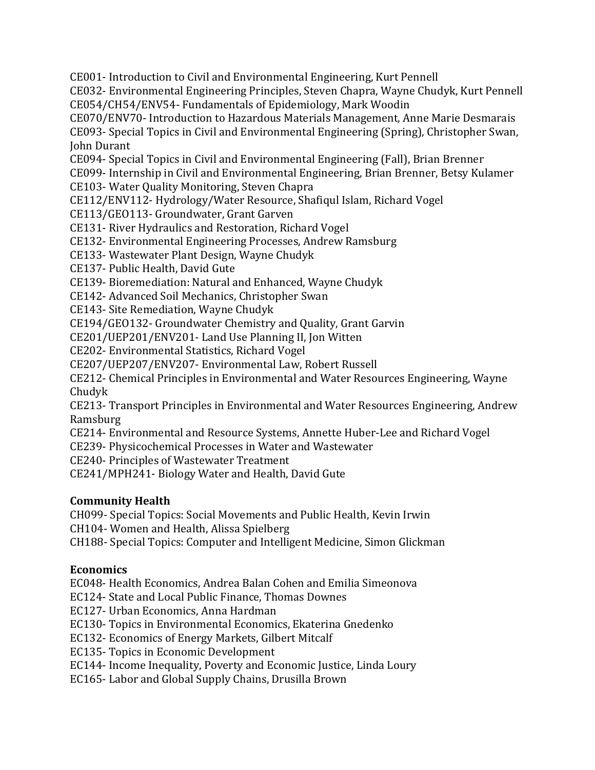CE001- Introduction to Civil and Environmental Engineering, Kurt Pennell

CE032- Environmental Engineering Principles, Steven Chapra, Wayne Chudyk, Kurt Pennell CE054/CH54/ENV54- Fundamentals of Epidemiology, Mark Woodin

CE070/ENV70- Introduction to Hazardous Materials Management, Anne Marie Desmarais CE093- Special Topics in Civil and Environmental Engineering (Spring), Christopher Swan,

John Durant

CE094- Special Topics in Civil and Environmental Engineering (Fall), Brian Brenner

CE099- Internship in Civil and Environmental Engineering, Brian Brenner, Betsy Kulamer

CE103- Water Quality Monitoring, Steven Chapra

CE112/ENV112- Hydrology/Water Resource, Shafiqul Islam, Richard Vogel

CE113/GEO113- Groundwater, Grant Garven

CE131- River Hydraulics and Restoration, Richard Vogel

CE132- Environmental Engineering Processes, Andrew Ramsburg

CE133- Wastewater Plant Design, Wayne Chudyk

CE137- Public Health, David Gute

CE139- Bioremediation: Natural and Enhanced, Wayne Chudyk

CE142- Advanced Soil Mechanics, Christopher Swan

CE143- Site Remediation, Wayne Chudyk

CE194/GEO132- Groundwater Chemistry and Quality, Grant Garvin

CE201/UEP201/ENV201- Land Use Planning II, Jon Witten

CE202- Environmental Statistics, Richard Vogel

CE207/UEP207/ENV207- Environmental Law, Robert Russell

CE212- Chemical Principles in Environmental and Water Resources Engineering, Wayne Chudyk

CE213- Transport Principles in Environmental and Water Resources Engineering, Andrew Ramsburg

CE214- Environmental and Resource Systems, Annette Huber-Lee and Richard Vogel

CE239- Physicochemical Processes in Water and Wastewater

CE240- Principles of Wastewater Treatment

CE241/MPH241- Biology Water and Health, David Gute

# **Community Health**

CH099- Special Topics: Social Movements and Public Health, Kevin Irwin

CH104- Women and Health, Alissa Spielberg

CH188- Special Topics: Computer and Intelligent Medicine, Simon Glickman

# **Economics**

EC048- Health Economics, Andrea Balan Cohen and Emilia Simeonova

EC124- State and Local Public Finance, Thomas Downes

EC127- Urban Economics, Anna Hardman

EC130- Topics in Environmental Economics, Ekaterina Gnedenko

EC132- Economics of Energy Markets, Gilbert Mitcalf

EC135- Topics in Economic Development

EC144- Income Inequality, Poverty and Economic Justice, Linda Loury

EC165- Labor and Global Supply Chains, Drusilla Brown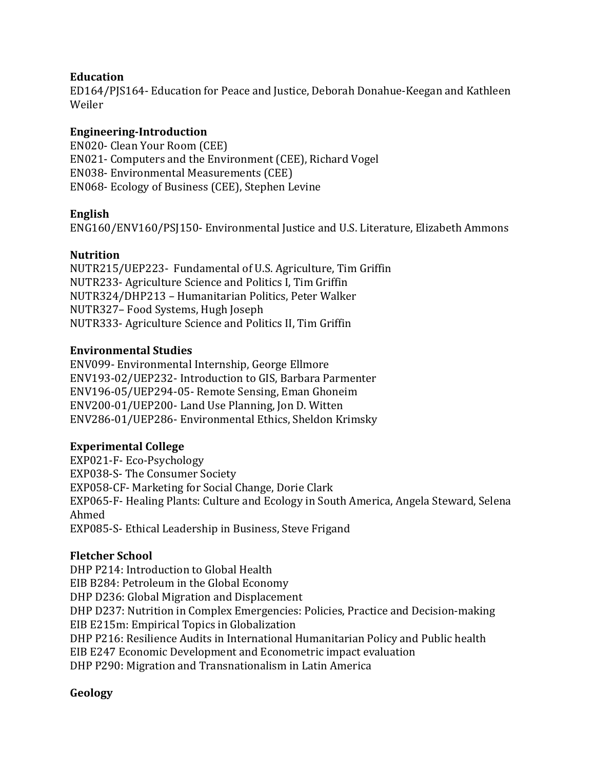### **Education**

ED164/PJS164- Education for Peace and Justice, Deborah Donahue-Keegan and Kathleen Weiler

### **Engineering-Introduction**

EN020- Clean Your Room (CEE) EN021- Computers and the Environment (CEE), Richard Vogel EN038- Environmental Measurements (CEE) EN068- Ecology of Business (CEE), Stephen Levine

### **English**

ENG160/ENV160/PSJ150- Environmental Justice and U.S. Literature, Elizabeth Ammons

### **Nutrition**

NUTR215/UEP223- Fundamental of U.S. Agriculture, Tim Griffin NUTR233- Agriculture Science and Politics I, Tim Griffin NUTR324/DHP213 – Humanitarian Politics, Peter Walker NUTR327– Food Systems, Hugh Joseph NUTR333- Agriculture Science and Politics II, Tim Griffin

### **Environmental Studies**

ENV099- Environmental Internship, George Ellmore ENV193-02/UEP232- Introduction to GIS, Barbara Parmenter ENV196-05/UEP294-05- Remote Sensing, Eman Ghoneim ENV200-01/UEP200- Land Use Planning, Jon D. Witten ENV286-01/UEP286- Environmental Ethics, Sheldon Krimsky

# **Experimental College**

EXP021-F- Eco-Psychology EXP038-S- The Consumer Society EXP058-CF- Marketing for Social Change, Dorie Clark EXP065-F- Healing Plants: Culture and Ecology in South America, Angela Steward, Selena Ahmed EXP085-S- Ethical Leadership in Business, Steve Frigand

### **Fletcher School**

DHP P214: Introduction to Global Health EIB B284: Petroleum in the Global Economy DHP D236: Global Migration and Displacement DHP D237: Nutrition in Complex Emergencies: Policies, Practice and Decision-making EIB E215m: Empirical Topics in Globalization DHP P216: Resilience Audits in International Humanitarian Policy and Public health EIB E247 Economic Development and Econometric impact evaluation DHP P290: Migration and Transnationalism in Latin America

# **Geology**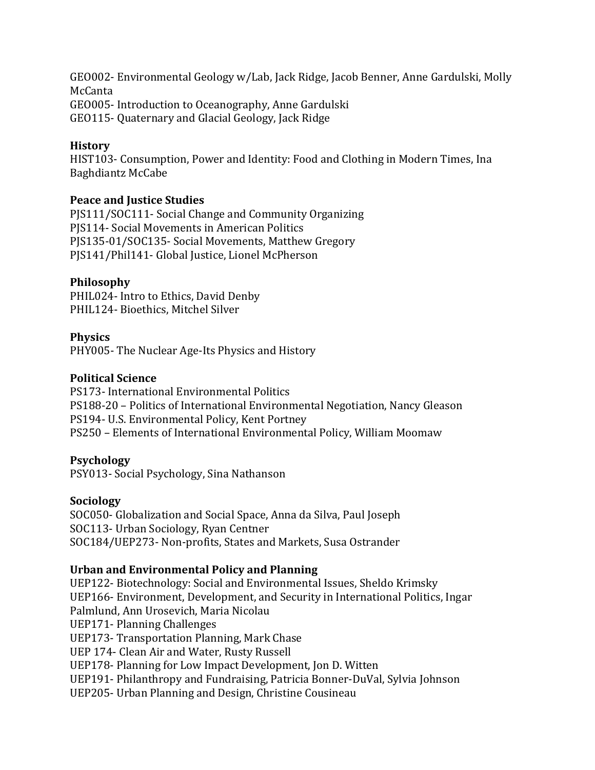GEO002- Environmental Geology w/Lab, Jack Ridge, Jacob Benner, Anne Gardulski, Molly McCanta GEO005- Introduction to Oceanography, Anne Gardulski GEO115- Quaternary and Glacial Geology, Jack Ridge

#### **History**

HIST103- Consumption, Power and Identity: Food and Clothing in Modern Times, Ina Baghdiantz McCabe

### **Peace and Justice Studies**

PJS111/SOC111- Social Change and Community Organizing PJS114- Social Movements in American Politics PJS135-01/SOC135- Social Movements, Matthew Gregory PJS141/Phil141- Global Justice, Lionel McPherson

### **Philosophy**

PHIL024- Intro to Ethics, David Denby PHIL124- Bioethics, Mitchel Silver

### **Physics**

PHY005- The Nuclear Age-Its Physics and History

### **Political Science**

PS173- International Environmental Politics PS188-20 – Politics of International Environmental Negotiation, Nancy Gleason PS194- U.S. Environmental Policy, Kent Portney PS250 – Elements of International Environmental Policy, William Moomaw

### **Psychology**

PSY013- Social Psychology, Sina Nathanson

### **Sociology**

SOC050- Globalization and Social Space, Anna da Silva, Paul Joseph SOC113- Urban Sociology, Ryan Centner SOC184/UEP273- Non-profits, States and Markets, Susa Ostrander

### **Urban and Environmental Policy and Planning**

UEP122- Biotechnology: Social and Environmental Issues, Sheldo Krimsky UEP166- Environment, Development, and Security in International Politics, Ingar Palmlund, Ann Urosevich, Maria Nicolau UEP171- Planning Challenges UEP173- Transportation Planning, Mark Chase UEP 174- Clean Air and Water, Rusty Russell UEP178- Planning for Low Impact Development, Jon D. Witten UEP191- Philanthropy and Fundraising, Patricia Bonner-DuVal, Sylvia Johnson UEP205- Urban Planning and Design, Christine Cousineau